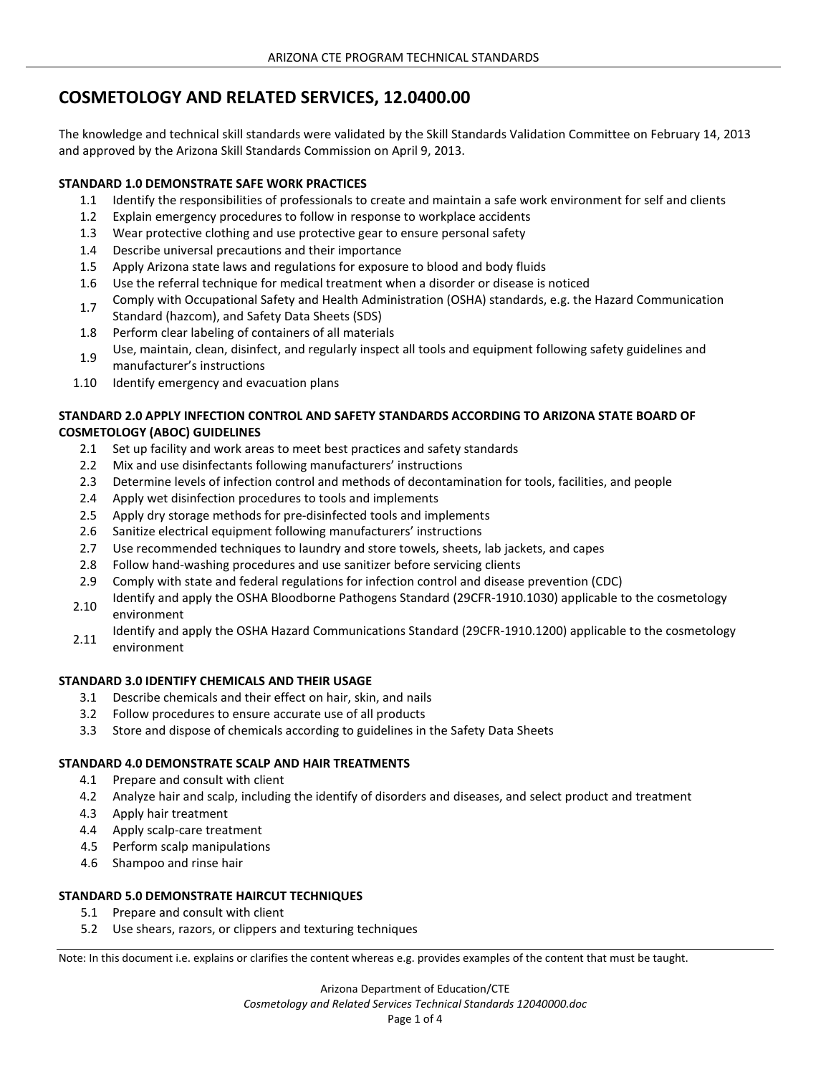# **COSMETOLOGY AND RELATED SERVICES, 12.0400.00**

The knowledge and technical skill standards were validated by the Skill Standards Validation Committee on February 14, 2013 and approved by the Arizona Skill Standards Commission on April 9, 2013.

# **STANDARD 1.0 DEMONSTRATE SAFE WORK PRACTICES**

- 1.1 Identify the responsibilities of professionals to create and maintain a safe work environment for self and clients
- 1.2 Explain emergency procedures to follow in response to workplace accidents
- 1.3 Wear protective clothing and use protective gear to ensure personal safety
- 1.4 Describe universal precautions and their importance
- 1.5 Apply Arizona state laws and regulations for exposure to blood and body fluids
- 1.6 Use the referral technique for medical treatment when a disorder or disease is noticed
- 1.7 Comply with Occupational Safety and Health Administration (OSHA) standards, e.g. the Hazard Communication Standard (hazcom), and Safety Data Sheets (SDS)
- 1.8 Perform clear labeling of containers of all materials
- 1.9 Use, maintain, clean, disinfect, and regularly inspect all tools and equipment following safety guidelines and manufacturer's instructions
- 1.10 Identify emergency and evacuation plans

# **STANDARD 2.0 APPLY INFECTION CONTROL AND SAFETY STANDARDS ACCORDING TO ARIZONA STATE BOARD OF COSMETOLOGY (ABOC) GUIDELINES**

- 2.1 Set up facility and work areas to meet best practices and safety standards
- 2.2 Mix and use disinfectants following manufacturers' instructions
- 2.3 Determine levels of infection control and methods of decontamination for tools, facilities, and people
- 2.4 Apply wet disinfection procedures to tools and implements
- 2.5 Apply dry storage methods for pre-disinfected tools and implements
- 2.6 Sanitize electrical equipment following manufacturers' instructions
- 2.7 Use recommended techniques to laundry and store towels, sheets, lab jackets, and capes
- 2.8 Follow hand-washing procedures and use sanitizer before servicing clients
- 2.9 Comply with state and federal regulations for infection control and disease prevention (CDC)
- 2.10 Identify and apply the OSHA Bloodborne Pathogens Standard (29CFR-1910.1030) applicable to the cosmetology environment
- 2.11 Identify and apply the OSHA Hazard Communications Standard (29CFR-1910.1200) applicable to the cosmetology environment

#### **STANDARD 3.0 IDENTIFY CHEMICALS AND THEIR USAGE**

- 3.1 Describe chemicals and their effect on hair, skin, and nails
- 3.2 Follow procedures to ensure accurate use of all products
- 3.3 Store and dispose of chemicals according to guidelines in the Safety Data Sheets

# **STANDARD 4.0 DEMONSTRATE SCALP AND HAIR TREATMENTS**

- 4.1 Prepare and consult with client
- 4.2 Analyze hair and scalp, including the identify of disorders and diseases, and select product and treatment
- 4.3 Apply hair treatment
- 4.4 Apply scalp-care treatment
- 4.5 Perform scalp manipulations
- 4.6 Shampoo and rinse hair

# **STANDARD 5.0 DEMONSTRATE HAIRCUT TECHNIQUES**

- 5.1 Prepare and consult with client
- 5.2 Use shears, razors, or clippers and texturing techniques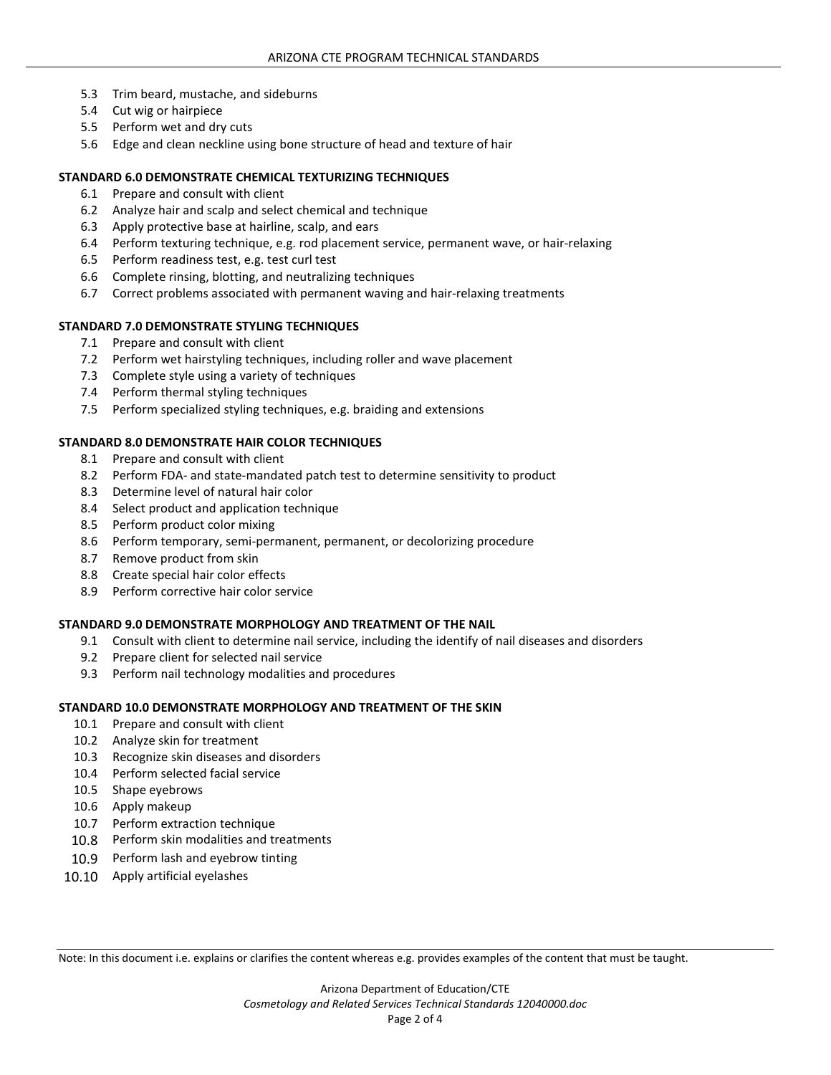- 5.3 Trim beard, mustache, and sideburns
- 5.4 Cut wig or hairpiece
- 5.5 Perform wet and dry cuts
- 5.6 Edge and clean neckline using bone structure of head and texture of hair

## **STANDARD 6.0 DEMONSTRATE CHEMICAL TEXTURIZING TECHNIQUES**

- 6.1 Prepare and consult with client
- 6.2 Analyze hair and scalp and select chemical and technique
- 6.3 Apply protective base at hairline, scalp, and ears
- 6.4 Perform texturing technique, e.g. rod placement service, permanent wave, or hair-relaxing
- 6.5 Perform readiness test, e.g. test curl test
- 6.6 Complete rinsing, blotting, and neutralizing techniques
- 6.7 Correct problems associated with permanent waving and hair-relaxing treatments

# **STANDARD 7.0 DEMONSTRATE STYLING TECHNIQUES**

- 7.1 Prepare and consult with client
- 7.2 Perform wet hairstyling techniques, including roller and wave placement
- 7.3 Complete style using a variety of techniques
- 7.4 Perform thermal styling techniques
- 7.5 Perform specialized styling techniques, e.g. braiding and extensions

## **STANDARD 8.0 DEMONSTRATE HAIR COLOR TECHNIQUES**

- 8.1 Prepare and consult with client
- 8.2 Perform FDA- and state-mandated patch test to determine sensitivity to product
- 8.3 Determine level of natural hair color
- 8.4 Select product and application technique
- 8.5 Perform product color mixing
- 8.6 Perform temporary, semi-permanent, permanent, or decolorizing procedure
- 8.7 Remove product from skin
- 8.8 Create special hair color effects
- 8.9 Perform corrective hair color service

#### **STANDARD 9.0 DEMONSTRATE MORPHOLOGY AND TREATMENT OF THE NAIL**

- 9.1 Consult with client to determine nail service, including the identify of nail diseases and disorders
- 9.2 Prepare client for selected nail service
- 9.3 Perform nail technology modalities and procedures

#### **STANDARD 10.0 DEMONSTRATE MORPHOLOGY AND TREATMENT OF THE SKIN**

- 10.1 Prepare and consult with client
- 10.2 Analyze skin for treatment
- 10.3 Recognize skin diseases and disorders
- 10.4 Perform selected facial service
- 10.5 Shape eyebrows
- 10.6 Apply makeup
- 10.7 Perform extraction technique
- 10.8 Perform skin modalities and treatments
- 10.9 Perform lash and eyebrow tinting
- 10.10 Apply artificial eyelashes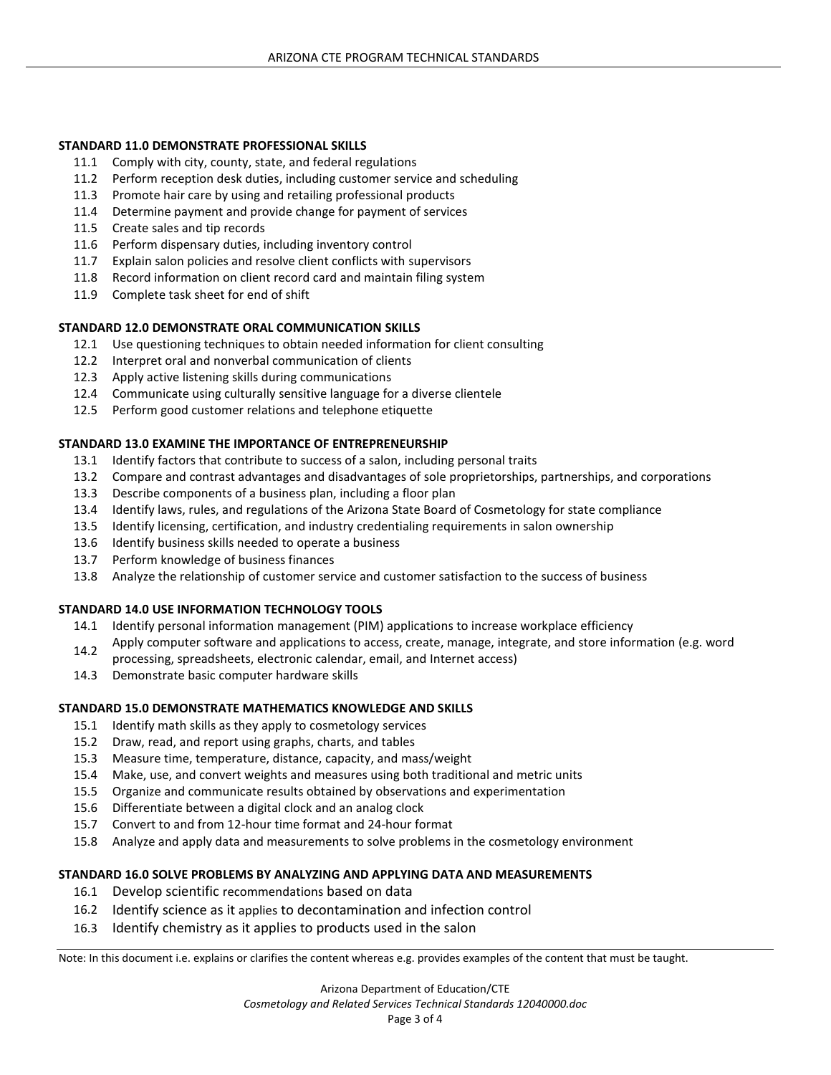#### **STANDARD 11.0 DEMONSTRATE PROFESSIONAL SKILLS**

- 11.1 Comply with city, county, state, and federal regulations
- 11.2 Perform reception desk duties, including customer service and scheduling
- 11.3 Promote hair care by using and retailing professional products
- 11.4 Determine payment and provide change for payment of services
- 11.5 Create sales and tip records
- 11.6 Perform dispensary duties, including inventory control
- 11.7 Explain salon policies and resolve client conflicts with supervisors
- 11.8 Record information on client record card and maintain filing system
- 11.9 Complete task sheet for end of shift

## **STANDARD 12.0 DEMONSTRATE ORAL COMMUNICATION SKILLS**

- 12.1 Use questioning techniques to obtain needed information for client consulting
- 12.2 Interpret oral and nonverbal communication of clients
- 12.3 Apply active listening skills during communications
- 12.4 Communicate using culturally sensitive language for a diverse clientele
- 12.5 Perform good customer relations and telephone etiquette

## **STANDARD 13.0 EXAMINE THE IMPORTANCE OF ENTREPRENEURSHIP**

- 13.1 Identify factors that contribute to success of a salon, including personal traits
- 13.2 Compare and contrast advantages and disadvantages of sole proprietorships, partnerships, and corporations
- 13.3 Describe components of a business plan, including a floor plan
- 13.4 Identify laws, rules, and regulations of the Arizona State Board of Cosmetology for state compliance
- 13.5 Identify licensing, certification, and industry credentialing requirements in salon ownership
- 13.6 Identify business skills needed to operate a business
- 13.7 Perform knowledge of business finances
- 13.8 Analyze the relationship of customer service and customer satisfaction to the success of business

# **STANDARD 14.0 USE INFORMATION TECHNOLOGY TOOLS**

- 14.1 Identify personal information management (PIM) applications to increase workplace efficiency
- 14.2 Apply computer software and applications to access, create, manage, integrate, and store information (e.g. word
- processing, spreadsheets, electronic calendar, email, and Internet access)
- 14.3 Demonstrate basic computer hardware skills

# **STANDARD 15.0 DEMONSTRATE MATHEMATICS KNOWLEDGE AND SKILLS**

- 15.1 Identify math skills as they apply to cosmetology services
- 15.2 Draw, read, and report using graphs, charts, and tables
- 15.3 Measure time, temperature, distance, capacity, and mass/weight
- 15.4 Make, use, and convert weights and measures using both traditional and metric units
- 15.5 Organize and communicate results obtained by observations and experimentation
- 15.6 Differentiate between a digital clock and an analog clock
- 15.7 Convert to and from 12-hour time format and 24-hour format
- 15.8 Analyze and apply data and measurements to solve problems in the cosmetology environment

# **STANDARD 16.0 SOLVE PROBLEMS BY ANALYZING AND APPLYING DATA AND MEASUREMENTS**

- 16.1 Develop scientific recommendations based on data
- 16.2 Identify science as it applies to decontamination and infection control
- 16.3 Identify chemistry as it applies to products used in the salon